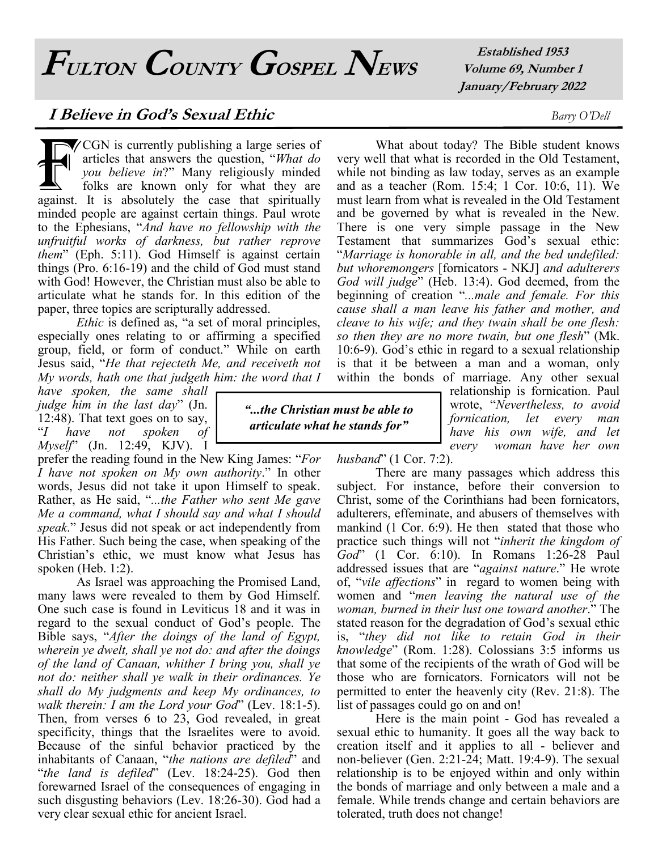**FULTON COUNTY GOSPEL NEWS**

**Established 1953 Volume 69, Number 1 January/February 2022**

### **I Believe in God's Sexual Ethic** *Barry O'Dell*

CGN is currently publishing a large series of<br>articles that answers the question, "What do<br>you believe in?" Many religiously minded<br>folks are known only for what they are<br>against. It is absolutely the case that spiritually CGN is currently publishing a large series of articles that answers the question, "*What do you believe in*?" Many religiously minded folks are known only for what they are minded people are against certain things. Paul wrote to the Ephesians, "*And have no fellowship with the unfruitful works of darkness, but rather reprove them*" (Eph. 5:11). God Himself is against certain things (Pro. 6:16-19) and the child of God must stand with God! However, the Christian must also be able to articulate what he stands for. In this edition of the paper, three topics are scripturally addressed.

*Ethic* is defined as, "a set of moral principles, especially ones relating to or affirming a specified group, field, or form of conduct." While on earth Jesus said, "*He that rejecteth Me, and receiveth not My words, hath one that judgeth him: the word that I* 

*have spoken, the same shall judge him in the last day*" (Jn. 12:48). That text goes on to say, "*I have not spoken of Myself*" (Jn. 12:49, KJV). I

prefer the reading found in the New King James: "*For I have not spoken on My own authority*." In other words, Jesus did not take it upon Himself to speak. Rather, as He said, "*...the Father who sent Me gave Me a command, what I should say and what I should speak*." Jesus did not speak or act independently from His Father. Such being the case, when speaking of the Christian's ethic, we must know what Jesus has spoken (Heb. 1:2).

As Israel was approaching the Promised Land, many laws were revealed to them by God Himself. One such case is found in Leviticus 18 and it was in regard to the sexual conduct of God's people. The Bible says, "*After the doings of the land of Egypt, wherein ye dwelt, shall ye not do: and after the doings of the land of Canaan, whither I bring you, shall ye not do: neither shall ye walk in their ordinances. Ye shall do My judgments and keep My ordinances, to walk therein: I am the Lord your God*" (Lev. 18:1-5). Then, from verses 6 to 23, God revealed, in great specificity, things that the Israelites were to avoid. Because of the sinful behavior practiced by the inhabitants of Canaan, "*the nations are defiled*" and "*the land is defiled*" (Lev. 18:24-25). God then forewarned Israel of the consequences of engaging in such disgusting behaviors (Lev. 18:26-30). God had a very clear sexual ethic for ancient Israel.

*"...the Christian must be able to articulate what he stands for"*

What about today? The Bible student knows very well that what is recorded in the Old Testament, while not binding as law today, serves as an example and as a teacher (Rom. 15:4; 1 Cor. 10:6, 11). We must learn from what is revealed in the Old Testament and be governed by what is revealed in the New. There is one very simple passage in the New Testament that summarizes God's sexual ethic: "*Marriage is honorable in all, and the bed undefiled: but whoremongers* [fornicators - NKJ] *and adulterers God will judge*" (Heb. 13:4). God deemed, from the beginning of creation "*...male and female. For this cause shall a man leave his father and mother, and cleave to his wife; and they twain shall be one flesh: so then they are no more twain, but one flesh*" (Mk. 10:6-9). God's ethic in regard to a sexual relationship

is that it be between a man and a woman, only

within the bonds of marriage. Any other sexual relationship is fornication. Paul wrote, "*Nevertheless, to avoid fornication, let every man have his own wife, and let every woman have her own* 

*husband*" (1 Cor. 7:2).

There are many passages which address this subject. For instance, before their conversion to Christ, some of the Corinthians had been fornicators, adulterers, effeminate, and abusers of themselves with mankind (1 Cor. 6:9). He then stated that those who practice such things will not "*inherit the kingdom of God*" (1 Cor. 6:10). In Romans 1:26-28 Paul addressed issues that are "*against nature*." He wrote of, "*vile affections*" in regard to women being with women and "*men leaving the natural use of the woman, burned in their lust one toward another*." The stated reason for the degradation of God's sexual ethic is, "*they did not like to retain God in their knowledge*" (Rom. 1:28). Colossians 3:5 informs us that some of the recipients of the wrath of God will be those who are fornicators. Fornicators will not be permitted to enter the heavenly city (Rev. 21:8). The list of passages could go on and on!

Here is the main point - God has revealed a sexual ethic to humanity. It goes all the way back to creation itself and it applies to all - believer and non-believer (Gen. 2:21-24; Matt. 19:4-9). The sexual relationship is to be enjoyed within and only within the bonds of marriage and only between a male and a female. While trends change and certain behaviors are tolerated, truth does not change!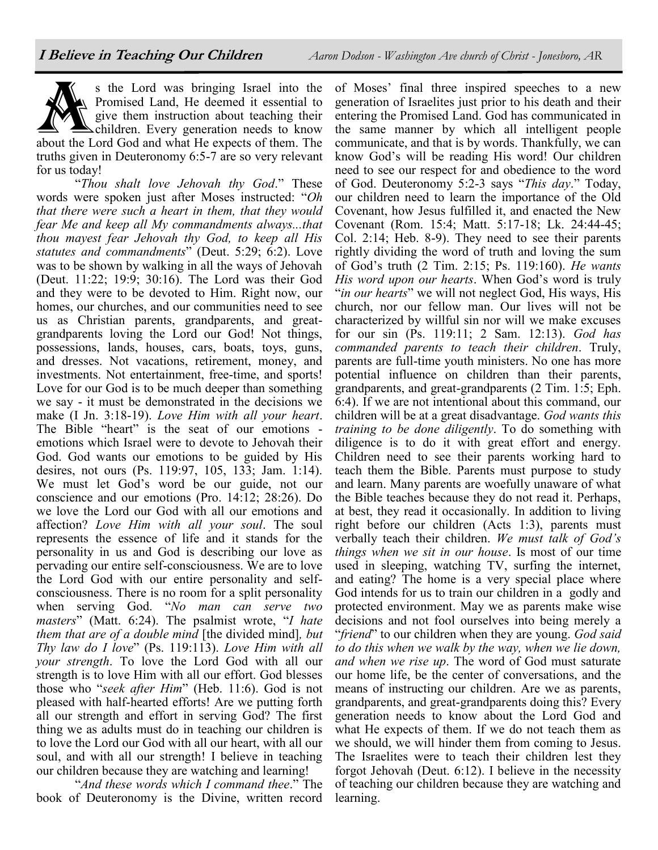



truths given in Deuteronomy 6:5-7 are so very relevant for us today!

"*Thou shalt love Jehovah thy God*." These words were spoken just after Moses instructed: "*Oh that there were such a heart in them, that they would fear Me and keep all My commandments always...that thou mayest fear Jehovah thy God, to keep all His statutes and commandments*" (Deut. 5:29; 6:2). Love was to be shown by walking in all the ways of Jehovah (Deut. 11:22; 19:9; 30:16). The Lord was their God and they were to be devoted to Him. Right now, our homes, our churches, and our communities need to see us as Christian parents, grandparents, and greatgrandparents loving the Lord our God! Not things, possessions, lands, houses, cars, boats, toys, guns, and dresses. Not vacations, retirement, money, and investments. Not entertainment, free-time, and sports! Love for our God is to be much deeper than something we say - it must be demonstrated in the decisions we make (I Jn. 3:18-19). *Love Him with all your heart*. The Bible "heart" is the seat of our emotions emotions which Israel were to devote to Jehovah their God. God wants our emotions to be guided by His desires, not ours (Ps. 119:97, 105, 133; Jam. 1:14). We must let God's word be our guide, not our conscience and our emotions (Pro. 14:12; 28:26). Do we love the Lord our God with all our emotions and affection? *Love Him with all your soul*. The soul represents the essence of life and it stands for the personality in us and God is describing our love as pervading our entire self-consciousness. We are to love the Lord God with our entire personality and selfconsciousness. There is no room for a split personality when serving God. "*No man can serve two masters*" (Matt. 6:24). The psalmist wrote, "*I hate them that are of a double mind* [the divided mind]*, but Thy law do I love*" (Ps. 119:113). *Love Him with all your strength*. To love the Lord God with all our strength is to love Him with all our effort. God blesses those who "*seek after Him*" (Heb. 11:6). God is not pleased with half-hearted efforts! Are we putting forth all our strength and effort in serving God? The first thing we as adults must do in teaching our children is to love the Lord our God with all our heart, with all our soul, and with all our strength! I believe in teaching our children because they are watching and learning!

"*And these words which I command thee*." The book of Deuteronomy is the Divine, written record

of Moses' final three inspired speeches to a new generation of Israelites just prior to his death and their entering the Promised Land. God has communicated in the same manner by which all intelligent people communicate, and that is by words. Thankfully, we can know God's will be reading His word! Our children need to see our respect for and obedience to the word of God. Deuteronomy 5:2-3 says "*This day*." Today, our children need to learn the importance of the Old Covenant, how Jesus fulfilled it, and enacted the New Covenant (Rom. 15:4; Matt. 5:17-18; Lk. 24:44-45; Col. 2:14; Heb. 8-9). They need to see their parents rightly dividing the word of truth and loving the sum of God's truth (2 Tim. 2:15; Ps. 119:160). *He wants His word upon our hearts*. When God's word is truly "*in our hearts*" we will not neglect God, His ways, His church, nor our fellow man. Our lives will not be characterized by willful sin nor will we make excuses for our sin (Ps. 119:11; 2 Sam. 12:13). *God has commanded parents to teach their children*. Truly, parents are full-time youth ministers. No one has more potential influence on children than their parents, grandparents, and great-grandparents (2 Tim. 1:5; Eph. 6:4). If we are not intentional about this command, our children will be at a great disadvantage. *God wants this training to be done diligently*. To do something with diligence is to do it with great effort and energy. Children need to see their parents working hard to teach them the Bible. Parents must purpose to study and learn. Many parents are woefully unaware of what the Bible teaches because they do not read it. Perhaps, at best, they read it occasionally. In addition to living right before our children (Acts 1:3), parents must verbally teach their children. *We must talk of God's things when we sit in our house*. Is most of our time used in sleeping, watching TV, surfing the internet, and eating? The home is a very special place where God intends for us to train our children in a godly and protected environment. May we as parents make wise decisions and not fool ourselves into being merely a "*friend*" to our children when they are young. *God said to do this when we walk by the way, when we lie down, and when we rise up*. The word of God must saturate our home life, be the center of conversations, and the means of instructing our children. Are we as parents, grandparents, and great-grandparents doing this? Every generation needs to know about the Lord God and what He expects of them. If we do not teach them as we should, we will hinder them from coming to Jesus. The Israelites were to teach their children lest they forgot Jehovah (Deut. 6:12). I believe in the necessity of teaching our children because they are watching and learning.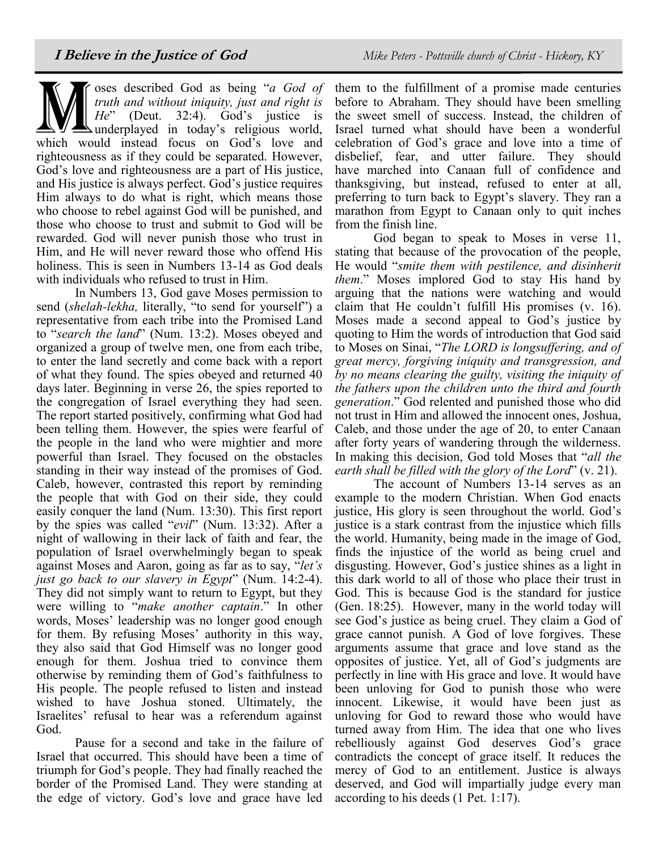Wallen is described God as being "a God of truth and without iniquity, just and right is He" (Deut. 32:4). God's justice is underplayed in today's religious world, which would instead focus on God's love and oses described God as being "*a God of truth and without iniquity, just and right is He*" (Deut. 32:4). God's justice is underplayed in today's religious world, righteousness as if they could be separated. However, God's love and righteousness are a part of His justice, and His justice is always perfect. God's justice requires Him always to do what is right, which means those who choose to rebel against God will be punished, and those who choose to trust and submit to God will be rewarded. God will never punish those who trust in Him, and He will never reward those who offend His holiness. This is seen in Numbers 13-14 as God deals with individuals who refused to trust in Him.

In Numbers 13, God gave Moses permission to send (*shelah-lekha,* literally, "to send for yourself") a representative from each tribe into the Promised Land to "*search the land*" (Num. 13:2). Moses obeyed and organized a group of twelve men, one from each tribe, to enter the land secretly and come back with a report of what they found. The spies obeyed and returned 40 days later. Beginning in verse 26, the spies reported to the congregation of Israel everything they had seen. The report started positively, confirming what God had been telling them. However, the spies were fearful of the people in the land who were mightier and more powerful than Israel. They focused on the obstacles standing in their way instead of the promises of God. Caleb, however, contrasted this report by reminding the people that with God on their side, they could easily conquer the land (Num. 13:30). This first report by the spies was called "*evil*" (Num. 13:32). After a night of wallowing in their lack of faith and fear, the population of Israel overwhelmingly began to speak against Moses and Aaron, going as far as to say, "*let's just go back to our slavery in Egypt*" (Num. 14:2-4). They did not simply want to return to Egypt, but they were willing to "*make another captain*." In other words, Moses' leadership was no longer good enough for them. By refusing Moses' authority in this way, they also said that God Himself was no longer good enough for them. Joshua tried to convince them otherwise by reminding them of God's faithfulness to His people. The people refused to listen and instead wished to have Joshua stoned. Ultimately, the Israelites' refusal to hear was a referendum against God.

Pause for a second and take in the failure of Israel that occurred. This should have been a time of triumph for God's people. They had finally reached the border of the Promised Land. They were standing at the edge of victory. God's love and grace have led

them to the fulfillment of a promise made centuries before to Abraham. They should have been smelling the sweet smell of success. Instead, the children of Israel turned what should have been a wonderful celebration of God's grace and love into a time of disbelief, fear, and utter failure. They should have marched into Canaan full of confidence and thanksgiving, but instead, refused to enter at all, preferring to turn back to Egypt's slavery. They ran a marathon from Egypt to Canaan only to quit inches from the finish line.

God began to speak to Moses in verse 11, stating that because of the provocation of the people, He would "*smite them with pestilence, and disinherit them*." Moses implored God to stay His hand by arguing that the nations were watching and would claim that He couldn't fulfill His promises (v. 16). Moses made a second appeal to God's justice by quoting to Him the words of introduction that God said to Moses on Sinai, "*The LORD is longsuffering, and of great mercy, forgiving iniquity and transgression, and by no means clearing the guilty, visiting the iniquity of the fathers upon the children unto the third and fourth generation*." God relented and punished those who did not trust in Him and allowed the innocent ones, Joshua, Caleb, and those under the age of 20, to enter Canaan after forty years of wandering through the wilderness. In making this decision, God told Moses that "*all the earth shall be filled with the glory of the Lord*" (v. 21).

The account of Numbers 13-14 serves as an example to the modern Christian. When God enacts justice, His glory is seen throughout the world. God's justice is a stark contrast from the injustice which fills the world. Humanity, being made in the image of God, finds the injustice of the world as being cruel and disgusting. However, God's justice shines as a light in this dark world to all of those who place their trust in God. This is because God is the standard for justice (Gen. 18:25). However, many in the world today will see God's justice as being cruel. They claim a God of grace cannot punish. A God of love forgives. These arguments assume that grace and love stand as the opposites of justice. Yet, all of God's judgments are perfectly in line with His grace and love. It would have been unloving for God to punish those who were innocent. Likewise, it would have been just as unloving for God to reward those who would have turned away from Him. The idea that one who lives rebelliously against God deserves God's grace contradicts the concept of grace itself. It reduces the mercy of God to an entitlement. Justice is always deserved, and God will impartially judge every man according to his deeds (1 Pet. 1:17).